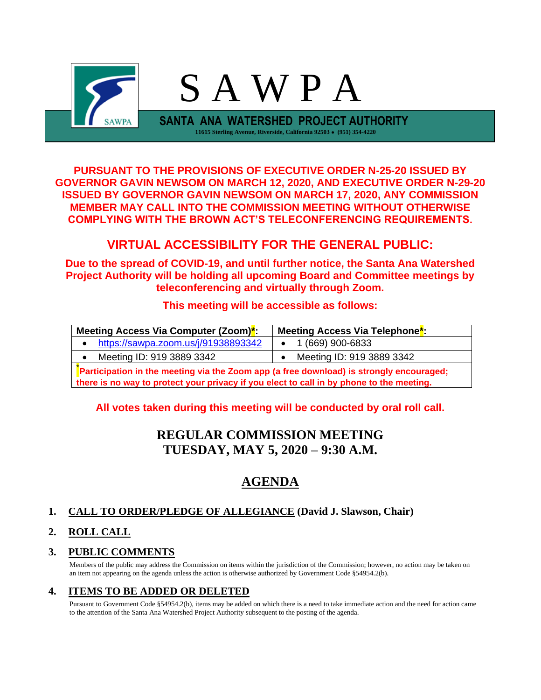

**PURSUANT TO THE PROVISIONS OF EXECUTIVE ORDER N-25-20 ISSUED BY GOVERNOR GAVIN NEWSOM ON MARCH 12, 2020, AND EXECUTIVE ORDER N-29-20 ISSUED BY GOVERNOR GAVIN NEWSOM ON MARCH 17, 2020, ANY COMMISSION MEMBER MAY CALL INTO THE COMMISSION MEETING WITHOUT OTHERWISE COMPLYING WITH THE BROWN ACT'S TELECONFERENCING REQUIREMENTS.**

# **VIRTUAL ACCESSIBILITY FOR THE GENERAL PUBLIC:**

**Due to the spread of COVID-19, and until further notice, the Santa Ana Watershed Project Authority will be holding all upcoming Board and Committee meetings by teleconferencing and virtually through Zoom.**

## **This meeting will be accessible as follows:**

| Meeting Access Via Computer (Zoom) <sup>*</sup> :                                        | Meeting Access Via Telephone <sup>*</sup> : |  |  |  |
|------------------------------------------------------------------------------------------|---------------------------------------------|--|--|--|
| https://sawpa.zoom.us/j/91938893342                                                      | 1 (669) 900-6833                            |  |  |  |
| Meeting ID: 919 3889 3342                                                                | Meeting ID: 919 3889 3342                   |  |  |  |
| Participation in the meeting via the Zoom app (a free download) is strongly encouraged;  |                                             |  |  |  |
| there is no way to protect your privacy if you elect to call in by phone to the meeting. |                                             |  |  |  |

## **All votes taken during this meeting will be conducted by oral roll call.**

# **REGULAR COMMISSION MEETING TUESDAY, MAY 5, 2020 – 9:30 A.M.**

# **AGENDA**

## **1. CALL TO ORDER/PLEDGE OF ALLEGIANCE (David J. Slawson, Chair)**

## **2. ROLL CALL**

## **3. PUBLIC COMMENTS**

Members of the public may address the Commission on items within the jurisdiction of the Commission; however, no action may be taken on an item not appearing on the agenda unless the action is otherwise authorized by Government Code §54954.2(b).

## **4. ITEMS TO BE ADDED OR DELETED**

Pursuant to Government Code §54954.2(b), items may be added on which there is a need to take immediate action and the need for action came to the attention of the Santa Ana Watershed Project Authority subsequent to the posting of the agenda.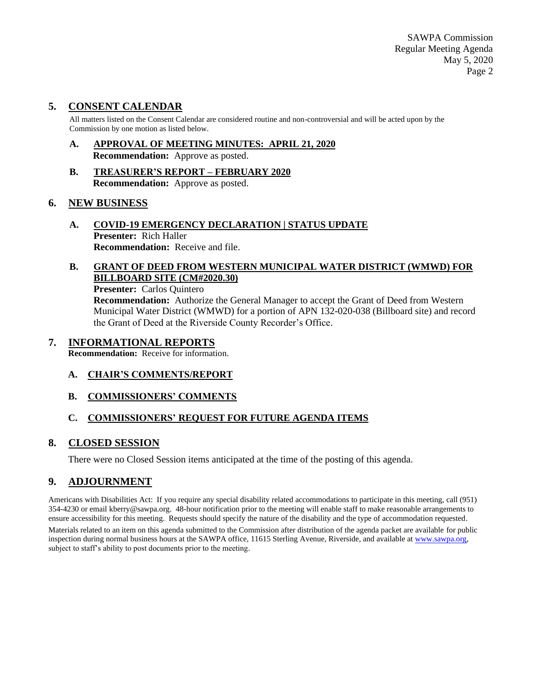SAWPA Commission Regular Meeting Agenda May 5, 2020 Page 2

### **5. CONSENT CALENDAR**

All matters listed on the Consent Calendar are considered routine and non-controversial and will be acted upon by the Commission by one motion as listed below.

- **A. APPROVAL OF MEETING MINUTES: APRIL 21, 2020 Recommendation:** Approve as posted.
- **B. TREASURER'S REPORT – FEBRUARY 2020 Recommendation:** Approve as posted.

#### **6. NEW BUSINESS**

**A. COVID-19 EMERGENCY DECLARATION | STATUS UPDATE Presenter:** Rich Haller **Recommendation:** Receive and file.

### **B. GRANT OF DEED FROM WESTERN MUNICIPAL WATER DISTRICT (WMWD) FOR BILLBOARD SITE (CM#2020.30)**

#### **Presenter:** Carlos Quintero

**Recommendation:** Authorize the General Manager to accept the Grant of Deed from Western Municipal Water District (WMWD) for a portion of APN 132-020-038 (Billboard site) and record the Grant of Deed at the Riverside County Recorder's Office.

#### **7. INFORMATIONAL REPORTS**

**Recommendation:** Receive for information.

- **A. CHAIR'S COMMENTS/REPORT**
- **B. COMMISSIONERS' COMMENTS**

### **C. COMMISSIONERS' REQUEST FOR FUTURE AGENDA ITEMS**

### **8. CLOSED SESSION**

There were no Closed Session items anticipated at the time of the posting of this agenda.

## **9. ADJOURNMENT**

Americans with Disabilities Act: If you require any special disability related accommodations to participate in this meeting, call (951) 354-4230 or email kberry@sawpa.org. 48-hour notification prior to the meeting will enable staff to make reasonable arrangements to ensure accessibility for this meeting. Requests should specify the nature of the disability and the type of accommodation requested. Materials related to an item on this agenda submitted to the Commission after distribution of the agenda packet are available for public inspection during normal business hours at the SAWPA office, 11615 Sterling Avenue, Riverside, and available a[t www.sawpa.org,](http://www.sawpa.org/) subject to staff's ability to post documents prior to the meeting.